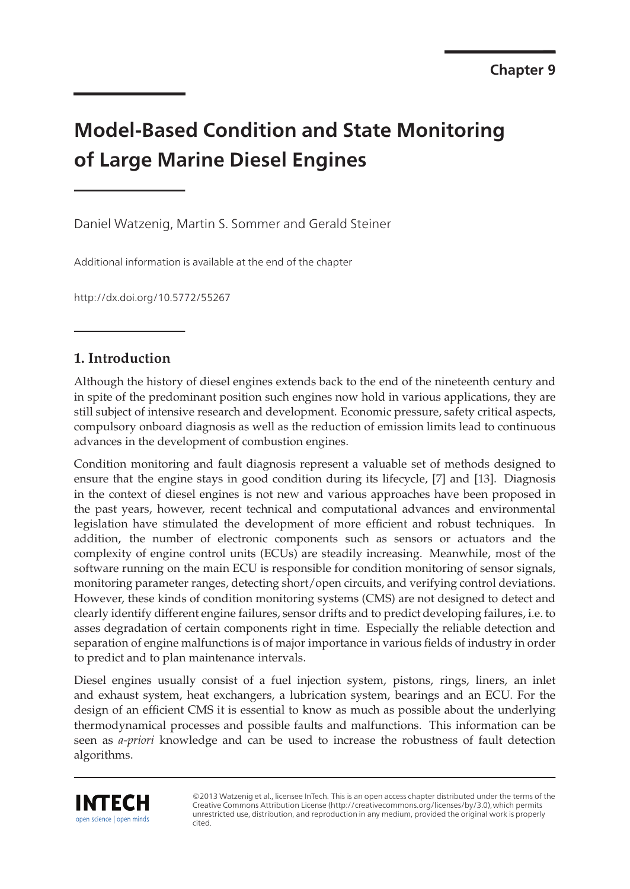# **Model-Based Condition and State Monitoring of Large Marine Diesel Engines**

Daniel Watzenig, Martin S. Sommer and Gerald Steiner

Additional information is available at the end of the chapter

http://dx.doi.org/10.5772/55267

# **1. Introduction**

Although the history of diesel engines extends back to the end of the nineteenth century and in spite of the predominant position such engines now hold in various applications, they are still subject of intensive research and development. Economic pressure, safety critical aspects, compulsory onboard diagnosis as well as the reduction of emission limits lead to continuous advances in the development of combustion engines.

Condition monitoring and fault diagnosis represent a valuable set of methods designed to ensure that the engine stays in good condition during its lifecycle, [7] and [13]. Diagnosis in the context of diesel engines is not new and various approaches have been proposed in the past years, however, recent technical and computational advances and environmental legislation have stimulated the development of more efficient and robust techniques. In addition, the number of electronic components such as sensors or actuators and the complexity of engine control units (ECUs) are steadily increasing. Meanwhile, most of the software running on the main ECU is responsible for condition monitoring of sensor signals, monitoring parameter ranges, detecting short/open circuits, and verifying control deviations. However, these kinds of condition monitoring systems (CMS) are not designed to detect and clearly identify different engine failures, sensor drifts and to predict developing failures, i.e. to asses degradation of certain components right in time. Especially the reliable detection and separation of engine malfunctions is of major importance in various fields of industry in order to predict and to plan maintenance intervals.

Diesel engines usually consist of a fuel injection system, pistons, rings, liners, an inlet and exhaust system, heat exchangers, a lubrication system, bearings and an ECU. For the design of an efficient CMS it is essential to know as much as possible about the underlying thermodynamical processes and possible faults and malfunctions. This information can be seen as *a-priori* knowledge and can be used to increase the robustness of fault detection algorithms.



©2013 Watzenig et al., licensee InTech. This is an open access chapter distributed under the terms of the Creative Commons Attribution License (http://creativecommons.org/licenses/by/3.0),which permits unrestricted use, distribution, and reproduction in any medium, provided the original work is properly cited.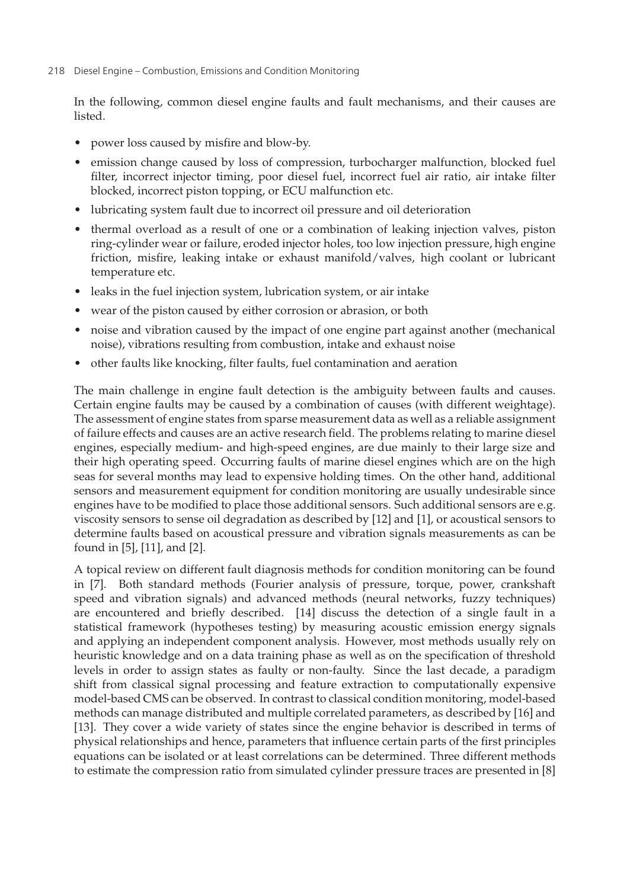#### 218 Diesel Engine – Combustion, Emissions and Condition Monitoring

In the following, common diesel engine faults and fault mechanisms, and their causes are listed.

- power loss caused by misfire and blow-by.
- emission change caused by loss of compression, turbocharger malfunction, blocked fuel filter, incorrect injector timing, poor diesel fuel, incorrect fuel air ratio, air intake filter blocked, incorrect piston topping, or ECU malfunction etc.
- lubricating system fault due to incorrect oil pressure and oil deterioration
- thermal overload as a result of one or a combination of leaking injection valves, piston ring-cylinder wear or failure, eroded injector holes, too low injection pressure, high engine friction, misfire, leaking intake or exhaust manifold/valves, high coolant or lubricant temperature etc.
- leaks in the fuel injection system, lubrication system, or air intake
- wear of the piston caused by either corrosion or abrasion, or both
- noise and vibration caused by the impact of one engine part against another (mechanical noise), vibrations resulting from combustion, intake and exhaust noise
- other faults like knocking, filter faults, fuel contamination and aeration

The main challenge in engine fault detection is the ambiguity between faults and causes. Certain engine faults may be caused by a combination of causes (with different weightage). The assessment of engine states from sparse measurement data as well as a reliable assignment of failure effects and causes are an active research field. The problems relating to marine diesel engines, especially medium- and high-speed engines, are due mainly to their large size and their high operating speed. Occurring faults of marine diesel engines which are on the high seas for several months may lead to expensive holding times. On the other hand, additional sensors and measurement equipment for condition monitoring are usually undesirable since engines have to be modified to place those additional sensors. Such additional sensors are e.g. viscosity sensors to sense oil degradation as described by [12] and [1], or acoustical sensors to determine faults based on acoustical pressure and vibration signals measurements as can be found in [5], [11], and [2].

A topical review on different fault diagnosis methods for condition monitoring can be found in [7]. Both standard methods (Fourier analysis of pressure, torque, power, crankshaft speed and vibration signals) and advanced methods (neural networks, fuzzy techniques) are encountered and briefly described. [14] discuss the detection of a single fault in a statistical framework (hypotheses testing) by measuring acoustic emission energy signals and applying an independent component analysis. However, most methods usually rely on heuristic knowledge and on a data training phase as well as on the specification of threshold levels in order to assign states as faulty or non-faulty. Since the last decade, a paradigm shift from classical signal processing and feature extraction to computationally expensive model-based CMS can be observed. In contrast to classical condition monitoring, model-based methods can manage distributed and multiple correlated parameters, as described by [16] and [13]. They cover a wide variety of states since the engine behavior is described in terms of physical relationships and hence, parameters that influence certain parts of the first principles equations can be isolated or at least correlations can be determined. Three different methods to estimate the compression ratio from simulated cylinder pressure traces are presented in [8]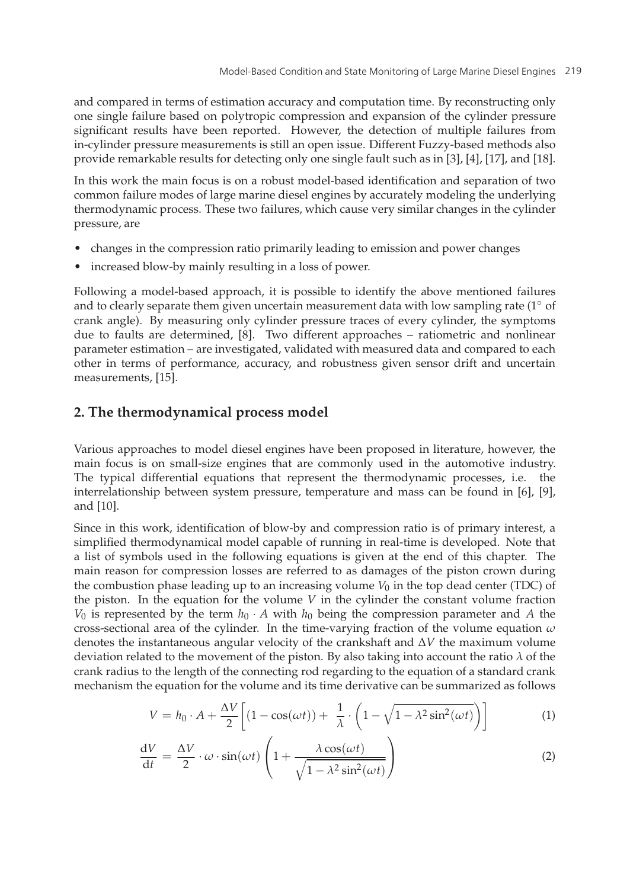and compared in terms of estimation accuracy and computation time. By reconstructing only one single failure based on polytropic compression and expansion of the cylinder pressure significant results have been reported. However, the detection of multiple failures from in-cylinder pressure measurements is still an open issue. Different Fuzzy-based methods also provide remarkable results for detecting only one single fault such as in [3], [4], [17], and [18].

In this work the main focus is on a robust model-based identification and separation of two common failure modes of large marine diesel engines by accurately modeling the underlying thermodynamic process. These two failures, which cause very similar changes in the cylinder pressure, are

- changes in the compression ratio primarily leading to emission and power changes
- increased blow-by mainly resulting in a loss of power.

Following a model-based approach, it is possible to identify the above mentioned failures and to clearly separate them given uncertain measurement data with low sampling rate  $(1°\text{ of }$ crank angle). By measuring only cylinder pressure traces of every cylinder, the symptoms due to faults are determined, [8]. Two different approaches – ratiometric and nonlinear parameter estimation – are investigated, validated with measured data and compared to each other in terms of performance, accuracy, and robustness given sensor drift and uncertain measurements, [15].

#### **2. The thermodynamical process model**

Various approaches to model diesel engines have been proposed in literature, however, the main focus is on small-size engines that are commonly used in the automotive industry. The typical differential equations that represent the thermodynamic processes, i.e. the interrelationship between system pressure, temperature and mass can be found in [6], [9], and [10].

Since in this work, identification of blow-by and compression ratio is of primary interest, a simplified thermodynamical model capable of running in real-time is developed. Note that a list of symbols used in the following equations is given at the end of this chapter. The main reason for compression losses are referred to as damages of the piston crown during the combustion phase leading up to an increasing volume  $V_0$  in the top dead center (TDC) of the piston. In the equation for the volume *V* in the cylinder the constant volume fraction  $V_0$  is represented by the term  $h_0 \cdot A$  with  $h_0$  being the compression parameter and *A* the cross-sectional area of the cylinder. In the time-varying fraction of the volume equation *ω* denotes the instantaneous angular velocity of the crankshaft and Δ*V* the maximum volume deviation related to the movement of the piston. By also taking into account the ratio *λ* of the crank radius to the length of the connecting rod regarding to the equation of a standard crank mechanism the equation for the volume and its time derivative can be summarized as follows

$$
V = h_0 \cdot A + \frac{\Delta V}{2} \left[ (1 - \cos(\omega t)) + \frac{1}{\lambda} \cdot \left( 1 - \sqrt{1 - \lambda^2 \sin^2(\omega t)} \right) \right]
$$
(1)

$$
\frac{dV}{dt} = \frac{\Delta V}{2} \cdot \omega \cdot \sin(\omega t) \left( 1 + \frac{\lambda \cos(\omega t)}{\sqrt{1 - \lambda^2 \sin^2(\omega t)}} \right)
$$
(2)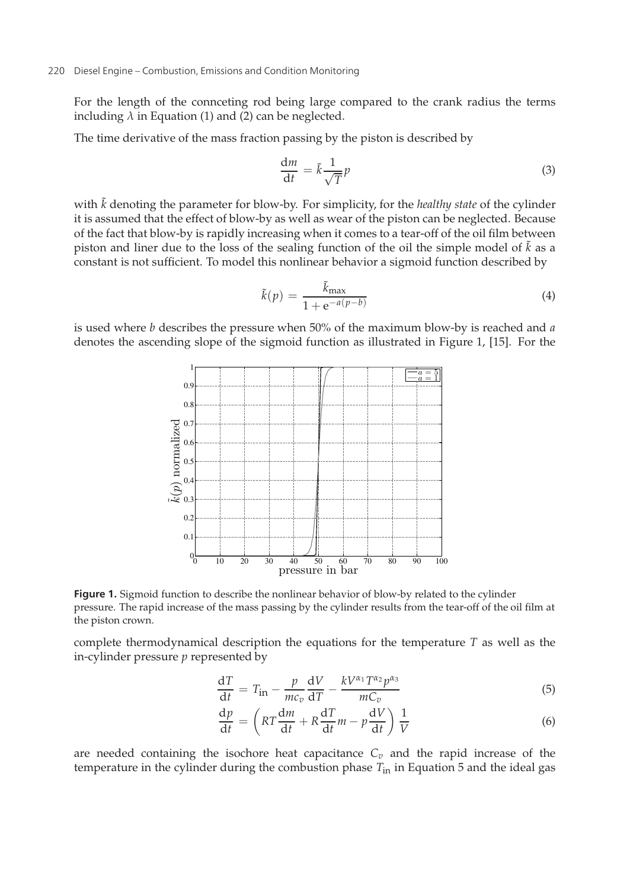#### 220 Diesel Engine – Combustion, Emissions and Condition Monitoring

For the length of the connceting rod being large compared to the crank radius the terms including  $\lambda$  in Equation (1) and (2) can be neglected.

The time derivative of the mass fraction passing by the piston is described by

$$
\frac{\mathrm{d}m}{\mathrm{d}t} = \tilde{k}\frac{1}{\sqrt{T}}p\tag{3}
$$

with ˜ *k* denoting the parameter for blow-by. For simplicity, for the *healthy state* of the cylinder it is assumed that the effect of blow-by as well as wear of the piston can be neglected. Because of the fact that blow-by is rapidly increasing when it comes to a tear-off of the oil film between piston and liner due to the loss of the sealing function of the oil the simple model of  $\tilde{k}$  as a constant is not sufficient. To model this nonlinear behavior a sigmoid function described by

$$
\tilde{k}(p) = \frac{\tilde{k}_{\text{max}}}{1 + e^{-a(p - b)}}
$$
\n(4)

is used where *b* describes the pressure when 50% of the maximum blow-by is reached and *a* denotes the ascending slope of the sigmoid function as illustrated in Figure 1, [15]. For the



**Figure 1.** Sigmoid function to describe the nonlinear behavior of blow-by related to the cylinder pressure. The rapid increase of the mass passing by the cylinder results from the tear-off of the oil film at the piston crown.

complete thermodynamical description the equations for the temperature *T* as well as the in-cylinder pressure *p* represented by

$$
\frac{dT}{dt} = T_{\rm in} - \frac{p}{mc_v} \frac{dV}{dT} - \frac{kV^{\alpha_1}T^{\alpha_2}p^{\alpha_3}}{mC_v} \tag{5}
$$

$$
\frac{dp}{dt} = \left(RT\frac{dm}{dt} + R\frac{dT}{dt}m - p\frac{dV}{dt}\right)\frac{1}{V}
$$
(6)

are needed containing the isochore heat capacitance  $C_v$  and the rapid increase of the temperature in the cylinder during the combustion phase *T*in in Equation 5 and the ideal gas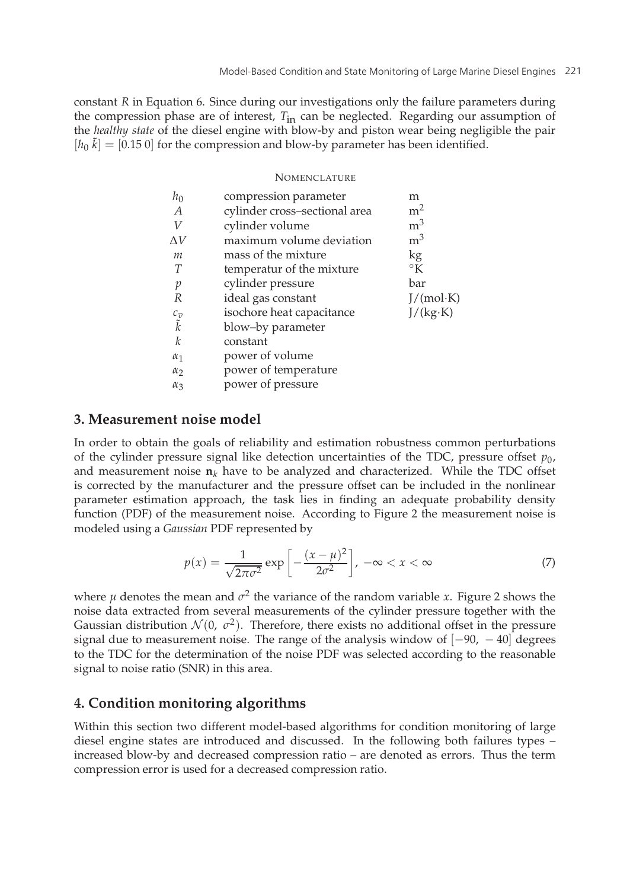constant *R* in Equation 6. Since during our investigations only the failure parameters during the compression phase are of interest, *T*in can be neglected. Regarding our assumption of the *healthy state* of the diesel engine with blow-by and piston wear being negligible the pair  $[h_0 \tilde{k}] = [0.15 \ 0]$  for the compression and blow-by parameter has been identified.

#### **NOMENCLATURE**

| h <sub>0</sub>    | compression parameter         | m                       |
|-------------------|-------------------------------|-------------------------|
| A                 | cylinder cross-sectional area | m <sup>2</sup>          |
| V                 | cylinder volume               | $m^3$                   |
| $\Delta V$        | maximum volume deviation      | m <sup>3</sup>          |
| т                 | mass of the mixture           | kg                      |
|                   | temperatur of the mixture     | $\mathcal{C}^{\circ}$ K |
| p                 | cylinder pressure             | bar                     |
| R                 | ideal gas constant            | J/(mol·K)               |
|                   | isochore heat capacitance     | J/(kg·K)                |
| $c_v$ $\tilde{k}$ | blow-by parameter             |                         |
| $\boldsymbol{k}$  | constant                      |                         |
| $\alpha_1$        | power of volume               |                         |
| $\alpha$          | power of temperature          |                         |
| $\alpha_3$        | power of pressure             |                         |
|                   |                               |                         |

## **3. Measurement noise model**

In order to obtain the goals of reliability and estimation robustness common perturbations of the cylinder pressure signal like detection uncertainties of the TDC, pressure offset  $p_0$ , and measurement noise  $\mathbf{n}_k$  have to be analyzed and characterized. While the TDC offset is corrected by the manufacturer and the pressure offset can be included in the nonlinear parameter estimation approach, the task lies in finding an adequate probability density function (PDF) of the measurement noise. According to Figure 2 the measurement noise is modeled using a *Gaussian* PDF represented by

$$
p(x) = \frac{1}{\sqrt{2\pi\sigma^2}} \exp\left[-\frac{(x-\mu)^2}{2\sigma^2}\right], \ -\infty < x < \infty \tag{7}
$$

where  $\mu$  denotes the mean and  $\sigma^2$  the variance of the random variable *x*. Figure 2 shows the noise data extracted from several measurements of the cylinder pressure together with the Gaussian distribution  $\mathcal{N}(0, \sigma^2)$ . Therefore, there exists no additional offset in the pressure signal due to measurement noise. The range of the analysis window of  $[-90, -40]$  degrees to the TDC for the determination of the noise PDF was selected according to the reasonable signal to noise ratio (SNR) in this area.

## **4. Condition monitoring algorithms**

Within this section two different model-based algorithms for condition monitoring of large diesel engine states are introduced and discussed. In the following both failures types – increased blow-by and decreased compression ratio – are denoted as errors. Thus the term compression error is used for a decreased compression ratio.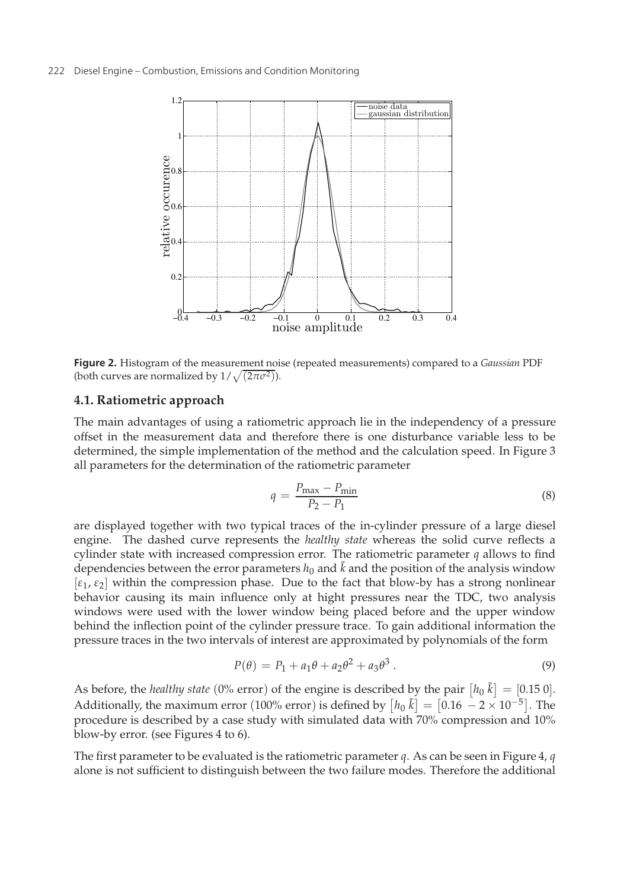

**Figure 2.** Histogram of the measurement noise (repeated measurements) compared to a *Gaussian* PDF (both curves are normalized by  $1/\sqrt{(2\pi\sigma^2)}$ ).

#### **4.1. Ratiometric approach**

The main advantages of using a ratiometric approach lie in the independency of a pressure offset in the measurement data and therefore there is one disturbance variable less to be determined, the simple implementation of the method and the calculation speed. In Figure 3 all parameters for the determination of the ratiometric parameter

$$
q = \frac{P_{\text{max}} - P_{\text{min}}}{P_2 - P_1} \tag{8}
$$

are displayed together with two typical traces of the in-cylinder pressure of a large diesel engine. The dashed curve represents the *healthy state* whereas the solid curve reflects a cylinder state with increased compression error. The ratiometric parameter *q* allows to find dependencies between the error parameters  $h_0$  and  $\tilde{k}$  and the position of the analysis window  $[\varepsilon_1, \varepsilon_2]$  within the compression phase. Due to the fact that blow-by has a strong nonlinear behavior causing its main influence only at hight pressures near the TDC, two analysis windows were used with the lower window being placed before and the upper window behind the inflection point of the cylinder pressure trace. To gain additional information the pressure traces in the two intervals of interest are approximated by polynomials of the form

$$
P(\theta) = P_1 + a_1 \theta + a_2 \theta^2 + a_3 \theta^3. \tag{9}
$$

As before, the *healthy state* (0% error) of the engine is described by the pair  $[h_0 \tilde{k}] = [0.15 \ 0]$ . Additionally, the maximum error (100% error) is defined by  $[h_0 \tilde{k}] = [0.16 - 2 \times 10^{-5}]$ . The procedure is described by a case study with simulated data with 70% compression and 10% blow-by error. (see Figures 4 to 6).

The first parameter to be evaluated is the ratiometric parameter *q*. As can be seen in Figure 4, *q* alone is not sufficient to distinguish between the two failure modes. Therefore the additional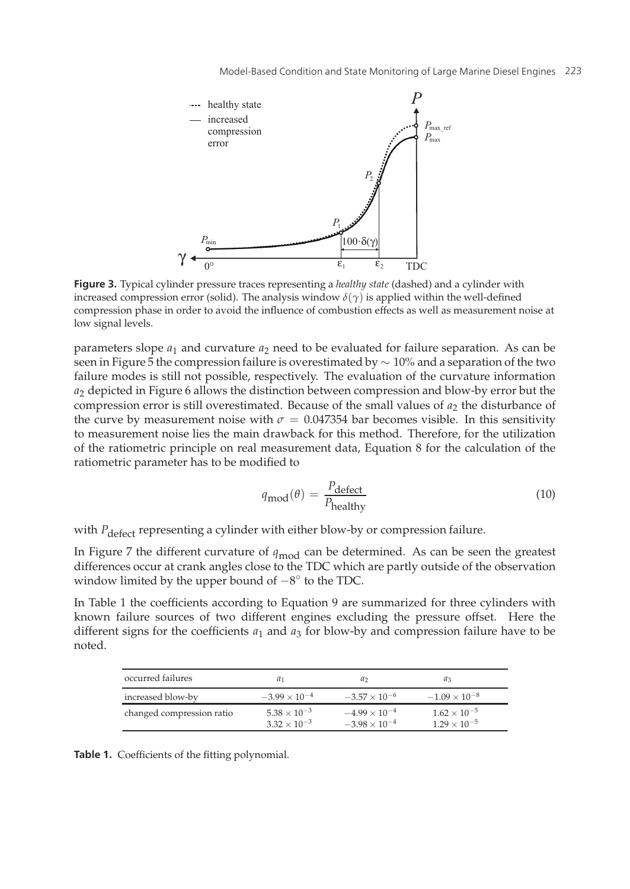

**Figure 3.** Typical cylinder pressure traces representing a *healthy state* (dashed) and a cylinder with increased compression error (solid). The analysis window  $\delta(\gamma)$  is applied within the well-defined compression phase in order to avoid the influence of combustion effects as well as measurement noise at low signal levels.

parameters slope  $a_1$  and curvature  $a_2$  need to be evaluated for failure separation. As can be seen in Figure 5 the compression failure is overestimated by  $\sim 10\%$  and a separation of the two failure modes is still not possible, respectively. The evaluation of the curvature information *a*<sup>2</sup> depicted in Figure 6 allows the distinction between compression and blow-by error but the compression error is still overestimated. Because of the small values of  $a_2$  the disturbance of the curve by measurement noise with  $\sigma = 0.047354$  bar becomes visible. In this sensitivity to measurement noise lies the main drawback for this method. Therefore, for the utilization of the ratiometric principle on real measurement data, Equation 8 for the calculation of the ratiometric parameter has to be modified to

$$
q_{\text{mod}}(\theta) = \frac{P_{\text{defect}}}{P_{\text{healthy}}}
$$
(10)

with *P*<sub>defect</sub> representing a cylinder with either blow-by or compression failure.

In Figure 7 the different curvature of  $q_{mod}$  can be determined. As can be seen the greatest differences occur at crank angles close to the TDC which are partly outside of the observation window limited by the upper bound of  $-8°$  to the TDC.

In Table 1 the coefficients according to Equation 9 are summarized for three cylinders with known failure sources of two different engines excluding the pressure offset. Here the different signs for the coefficients  $a_1$  and  $a_3$  for blow-by and compression failure have to be noted.

| occurred failures         | $a_1$                                          |                                                  | $u_3$                                          |
|---------------------------|------------------------------------------------|--------------------------------------------------|------------------------------------------------|
| increased blow-by         | $-3.99 \times 10^{-4}$                         | $-3.57 \times 10^{-6}$                           | $-1.09 \times 10^{-8}$                         |
| changed compression ratio | $5.38 \times 10^{-3}$<br>$3.32 \times 10^{-3}$ | $-4.99 \times 10^{-4}$<br>$-3.98 \times 10^{-4}$ | $1.62 \times 10^{-5}$<br>$1.29 \times 10^{-5}$ |

**Table 1.** Coefficients of the fitting polynomial.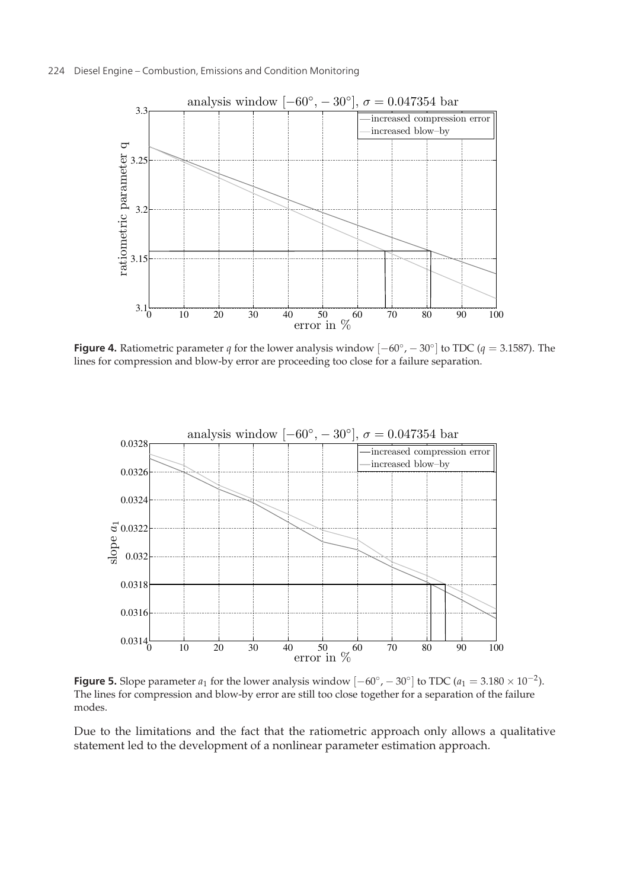

**Figure 4.** Ratiometric parameter *q* for the lower analysis window  $[-60^{\circ}, -30^{\circ}]$  to TDC (*q* = 3.1587). The lines for compression and blow-by error are proceeding too close for a failure separation.



**Figure 5.** Slope parameter  $a_1$  for the lower analysis window  $[-60^\circ, -30^\circ]$  to TDC  $(a_1 = 3.180 \times 10^{-2})$ . The lines for compression and blow-by error are still too close together for a separation of the failure modes.

Due to the limitations and the fact that the ratiometric approach only allows a qualitative statement led to the development of a nonlinear parameter estimation approach.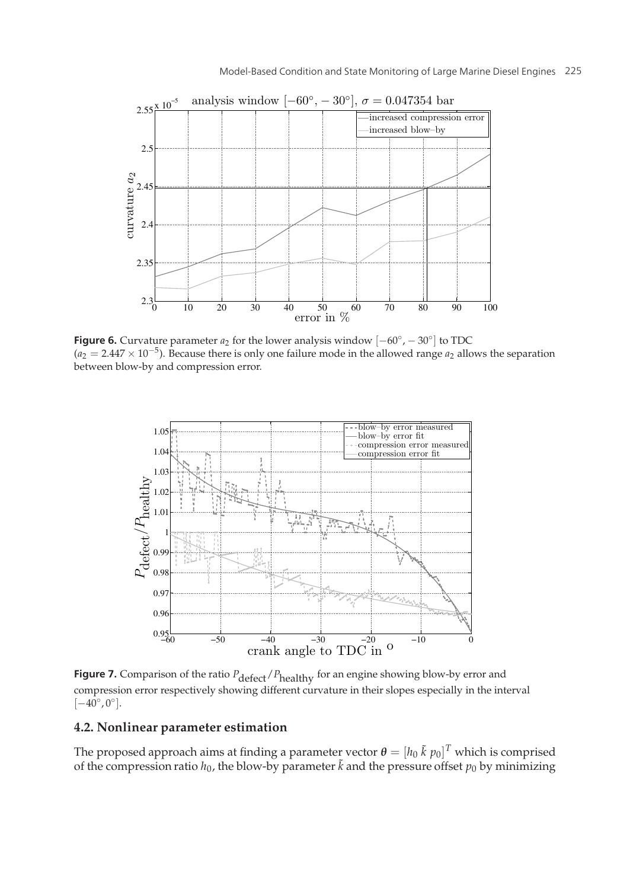

**Figure 6.** Curvature parameter  $a_2$  for the lower analysis window  $[-60^\circ, -30^\circ]$  to TDC  $(a_2 = 2.447 \times 10^{-5})$ . Because there is only one failure mode in the allowed range  $a_2$  allows the separation between blow-by and compression error.



**Figure 7.** Comparison of the ratio  $P_{\text{defect}}/P_{\text{healthy}}$  for an engine showing blow-by error and compression error respectively showing different curvature in their slopes especially in the interval  $[-40^{\circ}, 0^{\circ}].$ 

## **4.2. Nonlinear parameter estimation**

The proposed approach aims at finding a parameter vector  $\pmb{\theta} = [h_0\,\tilde{k}\:p_0]^T$  which is comprised of the compression ratio  $h_0$ , the blow-by parameter  $\tilde{k}$  and the pressure offset  $p_0$  by minimizing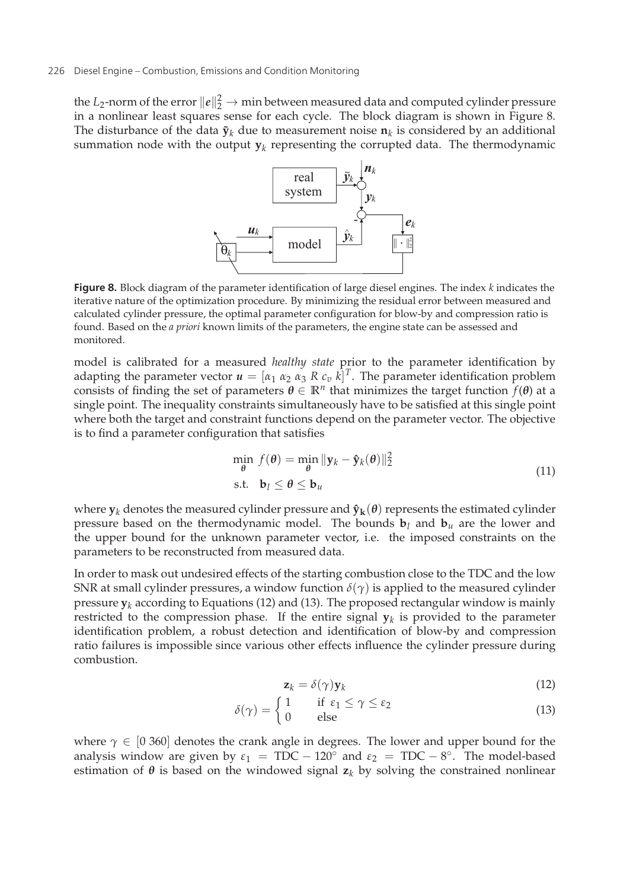the *L*<sub>2</sub>-norm of the error  $||e||_2^2 \rightarrow$  min between measured data and computed cylinder pressure in a nonlinear least squares sense for each cycle. The block diagram is shown in Figure 8. The disturbance of the data  $\tilde{\mathbf{y}}_k$  due to measurement noise  $\mathbf{n}_k$  is considered by an additional summation node with the output  $y_k$  representing the corrupted data. The thermodynamic



**Figure 8.** Block diagram of the parameter identification of large diesel engines. The index *k* indicates the iterative nature of the optimization procedure. By minimizing the residual error between measured and calculated cylinder pressure, the optimal parameter configuration for blow-by and compression ratio is found. Based on the *a priori* known limits of the parameters, the engine state can be assessed and monitored.

model is calibrated for a measured *healthy state* prior to the parameter identification by adapting the parameter vector  $u = [a_1 \ a_2 \ a_3 \ R \ c_v \ k]^T$ . The parameter identification problem consists of finding the set of parameters  $\theta \in \mathbb{R}^n$  that minimizes the target function  $f(\theta)$  at a single point. The inequality constraints simultaneously have to be satisfied at this single point where both the target and constraint functions depend on the parameter vector. The objective is to find a parameter configuration that satisfies

$$
\min_{\theta} f(\theta) = \min_{\theta} ||\mathbf{y}_k - \mathbf{\hat{y}}_k(\theta)||_2^2
$$
\n
$$
\text{s.t.} \quad \mathbf{b}_l \le \theta \le \mathbf{b}_u
$$
\n
$$
(11)
$$

where  $\mathbf{y}_k$  denotes the measured cylinder pressure and  $\hat{\mathbf{y}}_k(\theta)$  represents the estimated cylinder pressure based on the thermodynamic model. The bounds  $\mathbf{b}_l$  and  $\mathbf{b}_u$  are the lower and the upper bound for the unknown parameter vector, i.e. the imposed constraints on the parameters to be reconstructed from measured data.

In order to mask out undesired effects of the starting combustion close to the TDC and the low SNR at small cylinder pressures, a window function  $\delta(\gamma)$  is applied to the measured cylinder pressure  $\mathbf{v}_k$  according to Equations (12) and (13). The proposed rectangular window is mainly restricted to the compression phase. If the entire signal  $y_k$  is provided to the parameter identification problem, a robust detection and identification of blow-by and compression ratio failures is impossible since various other effects influence the cylinder pressure during combustion.

$$
\mathbf{z}_k = \delta(\gamma) \mathbf{y}_k \tag{12}
$$

$$
\delta(\gamma) = \begin{cases} 1 & \text{if } \varepsilon_1 \le \gamma \le \varepsilon_2 \\ 0 & \text{else} \end{cases}
$$
 (13)

where  $\gamma \in [0, 360]$  denotes the crank angle in degrees. The lower and upper bound for the analysis window are given by  $\varepsilon_1 = TDC - 120^\circ$  and  $\varepsilon_2 = TDC - 8^\circ$ . The model-based estimation of  $\theta$  is based on the windowed signal  $z_k$  by solving the constrained nonlinear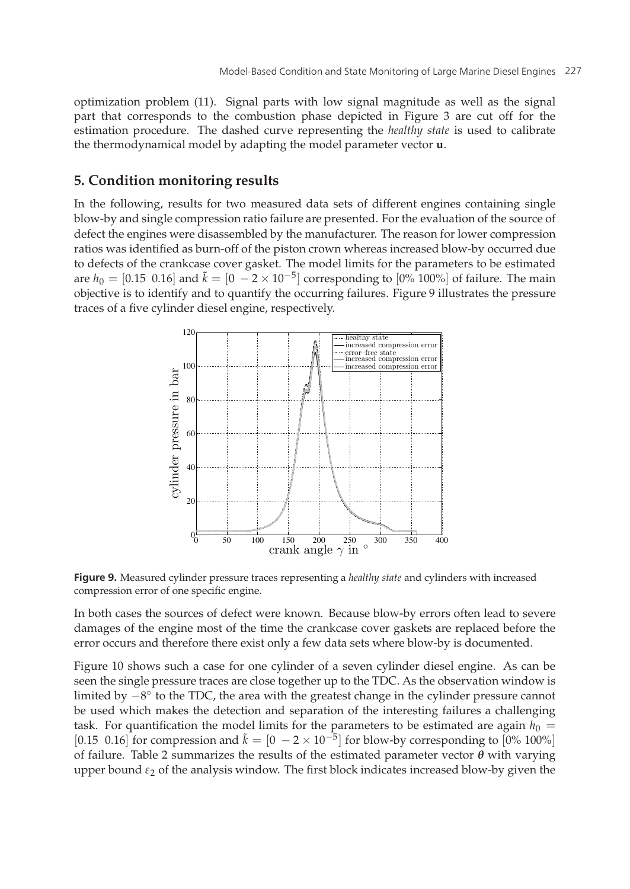optimization problem (11). Signal parts with low signal magnitude as well as the signal part that corresponds to the combustion phase depicted in Figure 3 are cut off for the estimation procedure. The dashed curve representing the *healthy state* is used to calibrate the thermodynamical model by adapting the model parameter vector **u**.

# **5. Condition monitoring results**

In the following, results for two measured data sets of different engines containing single blow-by and single compression ratio failure are presented. For the evaluation of the source of defect the engines were disassembled by the manufacturer. The reason for lower compression ratios was identified as burn-off of the piston crown whereas increased blow-by occurred due to defects of the crankcase cover gasket. The model limits for the parameters to be estimated are  $h_0 = [0.15 \ 0.16]$  and  $\tilde{k} = [0 \ -2 \times 10^{-5}]$  corresponding to  $[0\% \ 100\%]$  of failure. The main objective is to identify and to quantify the occurring failures. Figure 9 illustrates the pressure traces of a five cylinder diesel engine, respectively.



**Figure 9.** Measured cylinder pressure traces representing a *healthy state* and cylinders with increased compression error of one specific engine.

In both cases the sources of defect were known. Because blow-by errors often lead to severe damages of the engine most of the time the crankcase cover gaskets are replaced before the error occurs and therefore there exist only a few data sets where blow-by is documented.

Figure 10 shows such a case for one cylinder of a seven cylinder diesel engine. As can be seen the single pressure traces are close together up to the TDC. As the observation window is limited by  $-8^\circ$  to the TDC, the area with the greatest change in the cylinder pressure cannot be used which makes the detection and separation of the interesting failures a challenging task. For quantification the model limits for the parameters to be estimated are again  $h_0 =$ [0.15 0.16] for compression and  $\tilde{k} = [0 - 2 \times 10^{-5}]$  for blow-by corresponding to [0% 100%] of failure. Table 2 summarizes the results of the estimated parameter vector *θ* with varying upper bound *ε*<sup>2</sup> of the analysis window. The first block indicates increased blow-by given the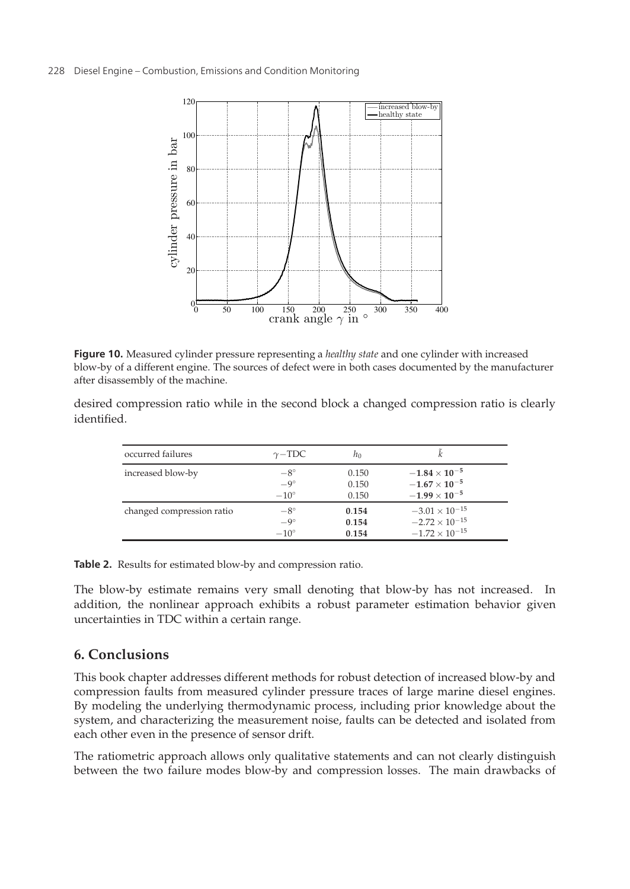

**Figure 10.** Measured cylinder pressure representing a *healthy state* and one cylinder with increased blow-by of a different engine. The sources of defect were in both cases documented by the manufacturer after disassembly of the machine.

desired compression ratio while in the second block a changed compression ratio is clearly identified.

| occurred failures         | $\gamma$ -TDC                               | $h_0$                   |                                                                               |  |
|---------------------------|---------------------------------------------|-------------------------|-------------------------------------------------------------------------------|--|
| increased blow-by         | $-8^\circ$<br>$-9^\circ$<br>$-10^{\circ}$   | 0.150<br>0.150<br>0.150 | $-1.84\times10^{-5}$<br>$-1.67\times10^{-5}$<br>$-1.99 \times 10^{-5}$        |  |
| changed compression ratio | $-8^{\circ}$<br>$-9^\circ$<br>$-10^{\circ}$ | 0.154<br>0.154<br>0.154 | $-3.01 \times 10^{-15}$<br>$-2.72 \times 10^{-15}$<br>$-1.72 \times 10^{-15}$ |  |

**Table 2.** Results for estimated blow-by and compression ratio.

The blow-by estimate remains very small denoting that blow-by has not increased. In addition, the nonlinear approach exhibits a robust parameter estimation behavior given uncertainties in TDC within a certain range.

## **6. Conclusions**

This book chapter addresses different methods for robust detection of increased blow-by and compression faults from measured cylinder pressure traces of large marine diesel engines. By modeling the underlying thermodynamic process, including prior knowledge about the system, and characterizing the measurement noise, faults can be detected and isolated from each other even in the presence of sensor drift.

The ratiometric approach allows only qualitative statements and can not clearly distinguish between the two failure modes blow-by and compression losses. The main drawbacks of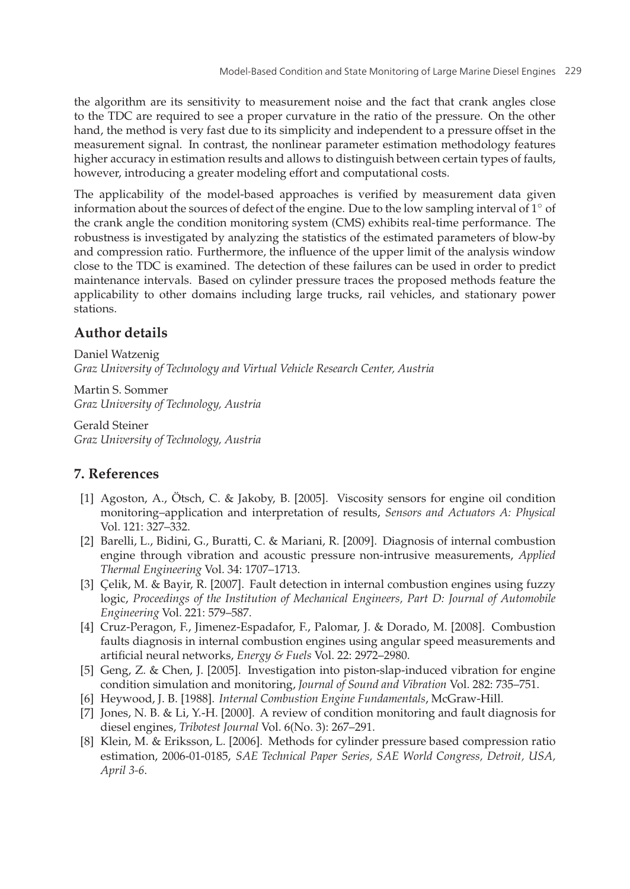the algorithm are its sensitivity to measurement noise and the fact that crank angles close to the TDC are required to see a proper curvature in the ratio of the pressure. On the other hand, the method is very fast due to its simplicity and independent to a pressure offset in the measurement signal. In contrast, the nonlinear parameter estimation methodology features higher accuracy in estimation results and allows to distinguish between certain types of faults, however, introducing a greater modeling effort and computational costs.

The applicability of the model-based approaches is verified by measurement data given information about the sources of defect of the engine. Due to the low sampling interval of 1◦ of the crank angle the condition monitoring system (CMS) exhibits real-time performance. The robustness is investigated by analyzing the statistics of the estimated parameters of blow-by and compression ratio. Furthermore, the influence of the upper limit of the analysis window close to the TDC is examined. The detection of these failures can be used in order to predict maintenance intervals. Based on cylinder pressure traces the proposed methods feature the applicability to other domains including large trucks, rail vehicles, and stationary power stations.

# **Author details**

Daniel Watzenig *Graz University of Technology and Virtual Vehicle Research Center, Austria*

Martin S. Sommer *Graz University of Technology, Austria*

Gerald Steiner *Graz University of Technology, Austria*

# **7. References**

- [1] Agoston, A., Ötsch, C. & Jakoby, B. [2005]. Viscosity sensors for engine oil condition monitoring–application and interpretation of results, *Sensors and Actuators A: Physical* Vol. 121: 327–332.
- [2] Barelli, L., Bidini, G., Buratti, C. & Mariani, R. [2009]. Diagnosis of internal combustion engine through vibration and acoustic pressure non-intrusive measurements, *Applied Thermal Engineering* Vol. 34: 1707–1713.
- [3] Çelik, M. & Bayir, R. [2007]. Fault detection in internal combustion engines using fuzzy logic, *Proceedings of the Institution of Mechanical Engineers, Part D: Journal of Automobile Engineering* Vol. 221: 579–587.
- [4] Cruz-Peragon, F., Jimenez-Espadafor, F., Palomar, J. & Dorado, M. [2008]. Combustion faults diagnosis in internal combustion engines using angular speed measurements and artificial neural networks, *Energy & Fuels* Vol. 22: 2972–2980.
- [5] Geng, Z. & Chen, J. [2005]. Investigation into piston-slap-induced vibration for engine condition simulation and monitoring, *Journal of Sound and Vibration* Vol. 282: 735–751.
- [6] Heywood, J. B. [1988]. *Internal Combustion Engine Fundamentals*, McGraw-Hill.
- [7] Jones, N. B. & Li, Y.-H. [2000]. A review of condition monitoring and fault diagnosis for diesel engines, *Tribotest Journal* Vol. 6(No. 3): 267–291.
- [8] Klein, M. & Eriksson, L. [2006]. Methods for cylinder pressure based compression ratio estimation, 2006-01-0185, *SAE Technical Paper Series, SAE World Congress, Detroit, USA, April 3-6*.